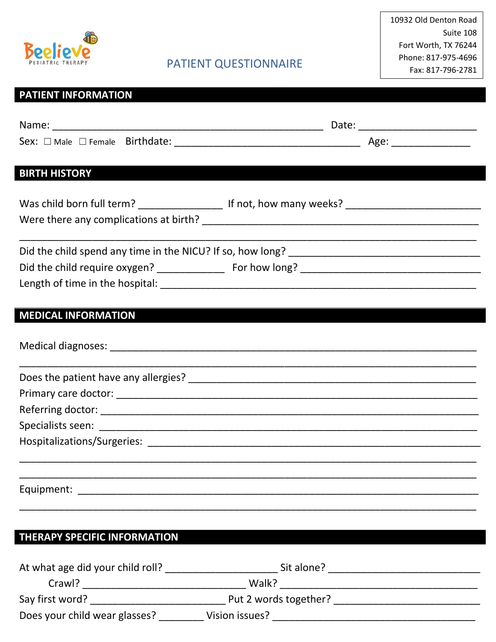

## **PATIENT INFORMATION**

| <b>BIRTH HISTORY</b>                                                                                 |  |
|------------------------------------------------------------------------------------------------------|--|
|                                                                                                      |  |
| Was child born full term? ______________________ If not, how many weeks? ___________________________ |  |
|                                                                                                      |  |
|                                                                                                      |  |
|                                                                                                      |  |
|                                                                                                      |  |
|                                                                                                      |  |
| <b>MEDICAL INFORMATION</b>                                                                           |  |
|                                                                                                      |  |
|                                                                                                      |  |
|                                                                                                      |  |
|                                                                                                      |  |
|                                                                                                      |  |
|                                                                                                      |  |
|                                                                                                      |  |
|                                                                                                      |  |
|                                                                                                      |  |
|                                                                                                      |  |
| <b>THERAPY SPECIFIC INFORMATION</b>                                                                  |  |
|                                                                                                      |  |
|                                                                                                      |  |
|                                                                                                      |  |